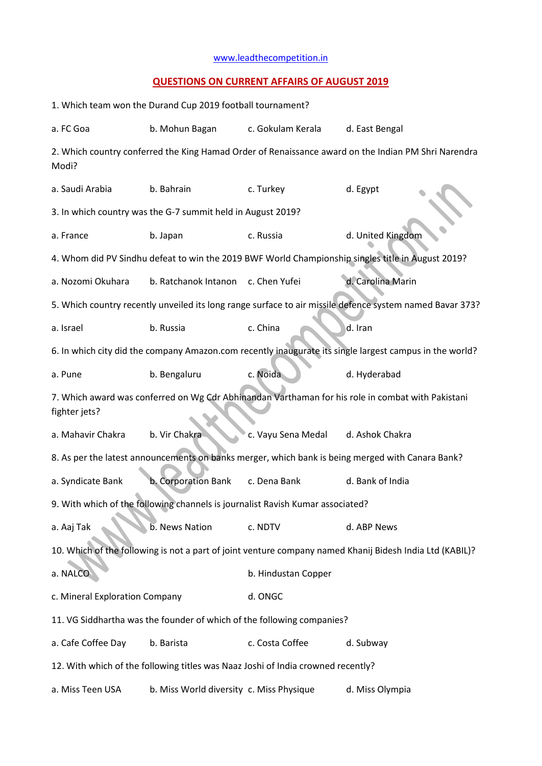## [www.leadthecompetition.in](http://www.leadthecompetition.in/)

## **QUESTIONS ON CURRENT AFFAIRS OF AUGUST 2019**

| 1. Which team won the Durand Cup 2019 football tournament?                                                         |                                          |                     |                                                                                                  |  |  |  |  |  |  |
|--------------------------------------------------------------------------------------------------------------------|------------------------------------------|---------------------|--------------------------------------------------------------------------------------------------|--|--|--|--|--|--|
| a. FC Goa                                                                                                          | b. Mohun Bagan                           | c. Gokulam Kerala   | d. East Bengal                                                                                   |  |  |  |  |  |  |
| 2. Which country conferred the King Hamad Order of Renaissance award on the Indian PM Shri Narendra<br>Modi?       |                                          |                     |                                                                                                  |  |  |  |  |  |  |
| a. Saudi Arabia                                                                                                    | b. Bahrain                               | c. Turkey           | d. Egypt                                                                                         |  |  |  |  |  |  |
| 3. In which country was the G-7 summit held in August 2019?                                                        |                                          |                     |                                                                                                  |  |  |  |  |  |  |
| a. France                                                                                                          | b. Japan                                 | c. Russia           | d. United Kingdom                                                                                |  |  |  |  |  |  |
| 4. Whom did PV Sindhu defeat to win the 2019 BWF World Championship singles title in August 2019?                  |                                          |                     |                                                                                                  |  |  |  |  |  |  |
| a. Nozomi Okuhara                                                                                                  | b. Ratchanok Intanon c. Chen Yufei       |                     | d. Carolina Marin                                                                                |  |  |  |  |  |  |
| 5. Which country recently unveiled its long range surface to air missile defence system named Bavar 373?           |                                          |                     |                                                                                                  |  |  |  |  |  |  |
| a. Israel                                                                                                          | b. Russia                                | c. China            | d. Iran                                                                                          |  |  |  |  |  |  |
| 6. In which city did the company Amazon.com recently inaugurate its single largest campus in the world?            |                                          |                     |                                                                                                  |  |  |  |  |  |  |
| a. Pune                                                                                                            | b. Bengaluru                             | c. Noida            | d. Hyderabad                                                                                     |  |  |  |  |  |  |
| 7. Which award was conferred on Wg Cdr Abhinandan Varthaman for his role in combat with Pakistani<br>fighter jets? |                                          |                     |                                                                                                  |  |  |  |  |  |  |
| a. Mahavir Chakra                                                                                                  | b. Vir Chakra                            | c. Vayu Sena Medal  | d. Ashok Chakra                                                                                  |  |  |  |  |  |  |
|                                                                                                                    |                                          |                     | 8. As per the latest announcements on banks merger, which bank is being merged with Canara Bank? |  |  |  |  |  |  |
| a. Syndicate Bank                                                                                                  | b. Corporation Bank                      | c. Dena Bank        | d. Bank of India                                                                                 |  |  |  |  |  |  |
| 9. With which of the following channels is journalist Ravish Kumar associated?                                     |                                          |                     |                                                                                                  |  |  |  |  |  |  |
| a. Aaj Tak                                                                                                         | b. News Nation                           | c. NDTV             | d. ABP News                                                                                      |  |  |  |  |  |  |
| 10. Which of the following is not a part of joint venture company named Khanij Bidesh India Ltd (KABIL)?           |                                          |                     |                                                                                                  |  |  |  |  |  |  |
| a. NALCO                                                                                                           |                                          | b. Hindustan Copper |                                                                                                  |  |  |  |  |  |  |
| c. Mineral Exploration Company                                                                                     |                                          | d. ONGC             |                                                                                                  |  |  |  |  |  |  |
| 11. VG Siddhartha was the founder of which of the following companies?                                             |                                          |                     |                                                                                                  |  |  |  |  |  |  |
| a. Cafe Coffee Day                                                                                                 | b. Barista                               | c. Costa Coffee     | d. Subway                                                                                        |  |  |  |  |  |  |
| 12. With which of the following titles was Naaz Joshi of India crowned recently?                                   |                                          |                     |                                                                                                  |  |  |  |  |  |  |
| a. Miss Teen USA                                                                                                   | b. Miss World diversity c. Miss Physique |                     | d. Miss Olympia                                                                                  |  |  |  |  |  |  |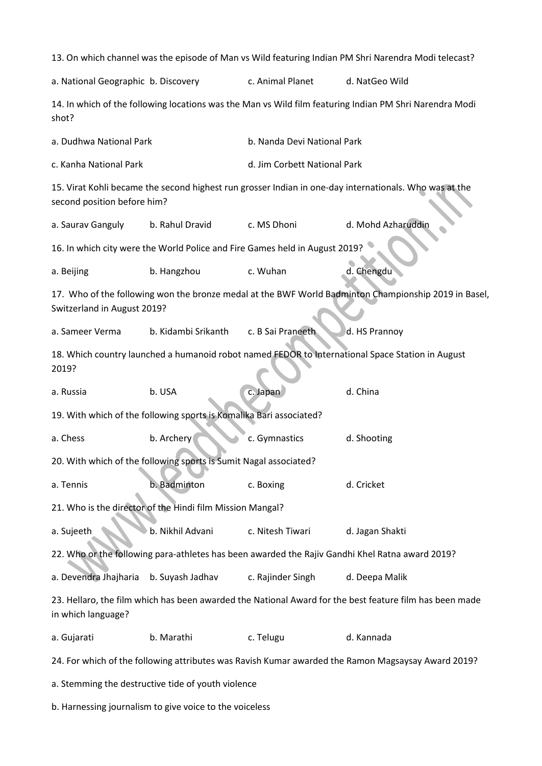13. On which channel was the episode of Man vs Wild featuring Indian PM Shri Narendra Modi telecast? a. National Geographic b. Discovery c. Animal Planet d. NatGeo Wild 14. In which of the following locations was the Man vs Wild film featuring Indian PM Shri Narendra Modi shot? a. Dudhwa National Park b. Nanda Devi National Park c. Kanha National Park d. Jim Corbett National Park 15. Virat Kohli became the second highest run grosser Indian in one-day internationals. Who was at the second position before him? a. Saurav Ganguly b. Rahul Dravid c. MS Dhoni d. Mohd Azharuddin 16. In which city were the World Police and Fire Games held in August 2019? a. Beijing b. Hangzhou c. Wuhan d. Chengdu 17. Who of the following won the bronze medal at the BWF World Badminton Championship 2019 in Basel, Switzerland in August 2019? a. Sameer Verma b. Kidambi Srikanth c. B Sai Praneeth d. HS Prannoy 18. Which country launched a humanoid robot named FEDOR to International Space Station in August 2019? a. Russia b. USA c. Japan d. China 19. With which of the following sports is Komalika Bari associated? a. Chess b. Archery c. Gymnastics d. Shooting 20. With which of the following sports is Sumit Nagal associated? a. Tennis b. Badminton c. Boxing d. Cricket 21. Who is the director of the Hindi film Mission Mangal? a. Sujeeth b. Nikhil Advani c. Nitesh Tiwari d. Jagan Shakti 22. Who or the following para-athletes has been awarded the Rajiv Gandhi Khel Ratna award 2019? a. Devendra Jhajharia b. Suyash Jadhav c. Rajinder Singh d. Deepa Malik 23. Hellaro, the film which has been awarded the National Award for the best feature film has been made in which language? a. Gujarati b. Marathi c. Telugu d. Kannada 24. For which of the following attributes was Ravish Kumar awarded the Ramon Magsaysay Award 2019? a. Stemming the destructive tide of youth violence

b. Harnessing journalism to give voice to the voiceless